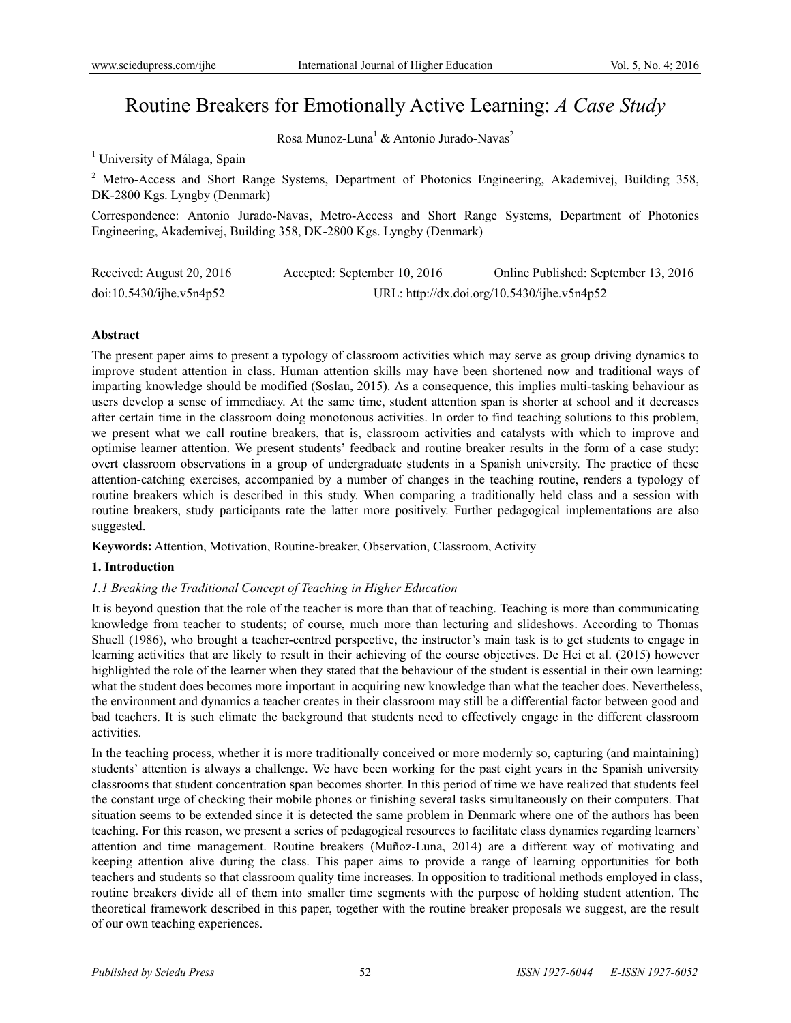# Routine Breakers for Emotionally Active Learning: *A Case Study*

Rosa Munoz-Luna<sup>1</sup> & Antonio Jurado-Navas<sup>2</sup>

<sup>1</sup> University of Málaga, Spain

<sup>2</sup> Metro-Access and Short Range Systems, Department of Photonics Engineering, Akademivej, Building 358, DK-2800 Kgs. Lyngby (Denmark)

Correspondence: Antonio Jurado-Navas, Metro-Access and Short Range Systems, Department of Photonics Engineering, Akademivej, Building 358, DK-2800 Kgs. Lyngby (Denmark)

| Received: August 20, 2016 | Accepted: September 10, 2016                | Online Published: September 13, 2016 |
|---------------------------|---------------------------------------------|--------------------------------------|
| doi:10.5430/ijhe.v5n4p52  | URL: http://dx.doi.org/10.5430/ijhe.v5n4p52 |                                      |

# **Abstract**

The present paper aims to present a typology of classroom activities which may serve as group driving dynamics to improve student attention in class. Human attention skills may have been shortened now and traditional ways of imparting knowledge should be modified (Soslau, 2015). As a consequence, this implies multi-tasking behaviour as users develop a sense of immediacy. At the same time, student attention span is shorter at school and it decreases after certain time in the classroom doing monotonous activities. In order to find teaching solutions to this problem, we present what we call routine breakers, that is, classroom activities and catalysts with which to improve and optimise learner attention. We present students' feedback and routine breaker results in the form of a case study: overt classroom observations in a group of undergraduate students in a Spanish university. The practice of these attention-catching exercises, accompanied by a number of changes in the teaching routine, renders a typology of routine breakers which is described in this study. When comparing a traditionally held class and a session with routine breakers, study participants rate the latter more positively. Further pedagogical implementations are also suggested.

**Keywords:** Attention, Motivation, Routine-breaker, Observation, Classroom, Activity

## **1. Introduction**

## *1.1 Breaking the Traditional Concept of Teaching in Higher Education*

It is beyond question that the role of the teacher is more than that of teaching. Teaching is more than communicating knowledge from teacher to students; of course, much more than lecturing and slideshows. According to Thomas Shuell (1986), who brought a teacher-centred perspective, the instructor's main task is to get students to engage in learning activities that are likely to result in their achieving of the course objectives. De Hei et al. (2015) however highlighted the role of the learner when they stated that the behaviour of the student is essential in their own learning: what the student does becomes more important in acquiring new knowledge than what the teacher does. Nevertheless, the environment and dynamics a teacher creates in their classroom may still be a differential factor between good and bad teachers. It is such climate the background that students need to effectively engage in the different classroom activities.

In the teaching process, whether it is more traditionally conceived or more modernly so, capturing (and maintaining) students' attention is always a challenge. We have been working for the past eight years in the Spanish university classrooms that student concentration span becomes shorter. In this period of time we have realized that students feel the constant urge of checking their mobile phones or finishing several tasks simultaneously on their computers. That situation seems to be extended since it is detected the same problem in Denmark where one of the authors has been teaching. For this reason, we present a series of pedagogical resources to facilitate class dynamics regarding learners' attention and time management. Routine breakers (Muñoz-Luna, 2014) are a different way of motivating and keeping attention alive during the class. This paper aims to provide a range of learning opportunities for both teachers and students so that classroom quality time increases. In opposition to traditional methods employed in class, routine breakers divide all of them into smaller time segments with the purpose of holding student attention. The theoretical framework described in this paper, together with the routine breaker proposals we suggest, are the result of our own teaching experiences.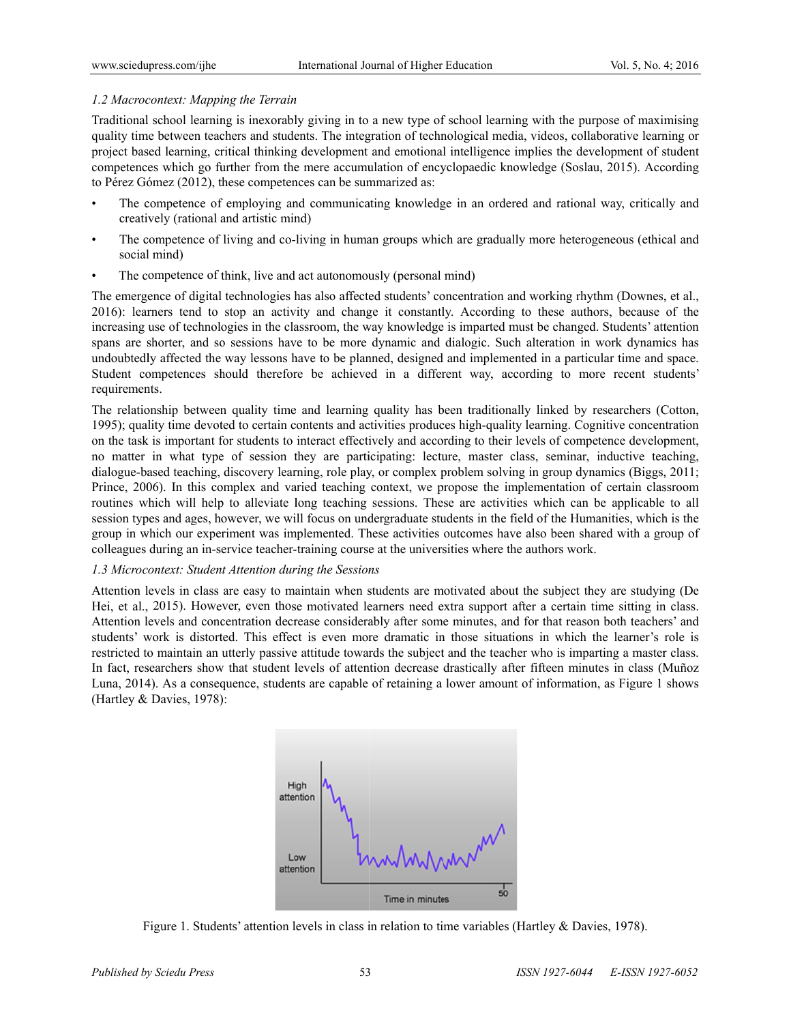## 1.2 Macrocontext: Mapping the Terrain

Traditional school learning is inexorably giving in to a new type of school learning with the purpose of maximising quality time between teachers and students. The integration of technological media, videos, collaborative learning or project based learning, critical thinking development and emotional intelligence implies the development of student competences which go further from the mere accumulation of encyclopaedic knowledge (Soslau, 2015). According to Pérez Gómez (2012), these competences can be summarized as:

- The competence of employing and communicating knowledge in an ordered and rational way, critically and creatively (rational and artistic mind)
- The competence of living and co-living in human groups which are gradually more heterogeneous (ethical and social mind)
- The competence of think, live and act autonomously (personal mind)

The emergence of digital technologies has also affected students' concentration and working rhythm (Downes, et al., 2016): learners tend to stop an activity and change it constantly. According to these authors, because of the increasing use of technologies in the classroom, the way knowledge is imparted must be changed. Students' attention spans are shorter, and so sessions have to be more dynamic and dialogic. Such alteration in work dynamics has undoubtedly affected the way lessons have to be planned, designed and implemented in a particular time and space. Student competences should therefore be achieved in a different way, according to more recent students' requirements.

The relationship between quality time and learning quality has been traditionally linked by researchers (Cotton, 1995); quality time devoted to certain contents and activities produces high-quality learning. Cognitive concentration on the task is important for students to interact effectively and according to their levels of competence development, no matter in what type of session they are participating: lecture, master class, seminar, inductive teaching, dialogue-based teaching, discovery learning, role play, or complex problem solving in group dynamics (Biggs, 2011; Prince, 2006). In this complex and varied teaching context, we propose the implementation of certain classroom routines which will help to alleviate long teaching sessions. These are activities which can be applicable to all session types and ages, however, we will focus on undergraduate students in the field of the Humanities, which is the group in which our experiment was implemented. These activities outcomes have also been shared with a group of colleagues during an in-service teacher-training course at the universities where the authors work.

## 1.3 Microcontext: Student Attention during the Sessions

Attention levels in class are easy to maintain when students are motivated about the subject they are studying (De Hei, et al., 2015). However, even those motivated learners need extra support after a certain time sitting in class. Attention levels and concentration decrease considerably after some minutes, and for that reason both teachers' and students' work is distorted. This effect is even more dramatic in those situations in which the learner's role is restricted to maintain an utterly passive attitude towards the subject and the teacher who is imparting a master class. In fact, researchers show that student levels of attention decrease drastically after fifteen minutes in class (Muñoz Luna, 2014). As a consequence, students are capable of retaining a lower amount of information, as Figure 1 shows (Hartley & Davies, 1978) ):



Figure 1. Students' attention levels in class in relation to time variables (Hartley & Davies, 1978).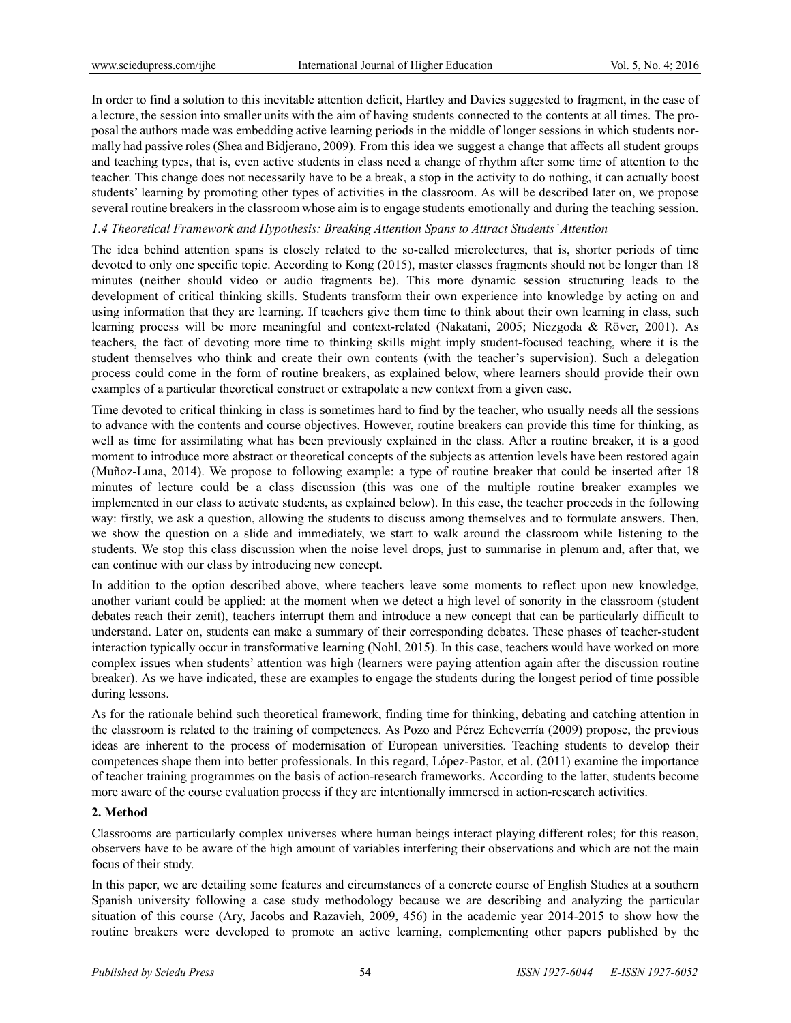In order to find a solution to this inevitable attention deficit, Hartley and Davies suggested to fragment, in the case of a lecture, the session into smaller units with the aim of having students connected to the contents at all times. The proposal the authors made was embedding active learning periods in the middle of longer sessions in which students normally had passive roles (Shea and Bidjerano, 2009). From this idea we suggest a change that affects all student groups and teaching types, that is, even active students in class need a change of rhythm after some time of attention to the teacher. This change does not necessarily have to be a break, a stop in the activity to do nothing, it can actually boost students' learning by promoting other types of activities in the classroom. As will be described later on, we propose several routine breakers in the classroom whose aim is to engage students emotionally and during the teaching session.

## *1.4 Theoretical Framework and Hypothesis: Breaking Attention Spans to Attract Students' Attention*

The idea behind attention spans is closely related to the so-called microlectures, that is, shorter periods of time devoted to only one specific topic. According to Kong (2015), master classes fragments should not be longer than 18 minutes (neither should video or audio fragments be). This more dynamic session structuring leads to the development of critical thinking skills. Students transform their own experience into knowledge by acting on and using information that they are learning. If teachers give them time to think about their own learning in class, such learning process will be more meaningful and context-related (Nakatani, 2005; Niezgoda & Röver, 2001). As teachers, the fact of devoting more time to thinking skills might imply student-focused teaching, where it is the student themselves who think and create their own contents (with the teacher's supervision). Such a delegation process could come in the form of routine breakers, as explained below, where learners should provide their own examples of a particular theoretical construct or extrapolate a new context from a given case.

Time devoted to critical thinking in class is sometimes hard to find by the teacher, who usually needs all the sessions to advance with the contents and course objectives. However, routine breakers can provide this time for thinking, as well as time for assimilating what has been previously explained in the class. After a routine breaker, it is a good moment to introduce more abstract or theoretical concepts of the subjects as attention levels have been restored again (Muñoz-Luna, 2014). We propose to following example: a type of routine breaker that could be inserted after 18 minutes of lecture could be a class discussion (this was one of the multiple routine breaker examples we implemented in our class to activate students, as explained below). In this case, the teacher proceeds in the following way: firstly, we ask a question, allowing the students to discuss among themselves and to formulate answers. Then, we show the question on a slide and immediately, we start to walk around the classroom while listening to the students. We stop this class discussion when the noise level drops, just to summarise in plenum and, after that, we can continue with our class by introducing new concept.

In addition to the option described above, where teachers leave some moments to reflect upon new knowledge, another variant could be applied: at the moment when we detect a high level of sonority in the classroom (student debates reach their zenit), teachers interrupt them and introduce a new concept that can be particularly difficult to understand. Later on, students can make a summary of their corresponding debates. These phases of teacher-student interaction typically occur in transformative learning (Nohl, 2015). In this case, teachers would have worked on more complex issues when students' attention was high (learners were paying attention again after the discussion routine breaker). As we have indicated, these are examples to engage the students during the longest period of time possible during lessons.

As for the rationale behind such theoretical framework, finding time for thinking, debating and catching attention in the classroom is related to the training of competences. As Pozo and Pérez Echeverría (2009) propose, the previous ideas are inherent to the process of modernisation of European universities. Teaching students to develop their competences shape them into better professionals. In this regard, López-Pastor, et al. (2011) examine the importance of teacher training programmes on the basis of action-research frameworks. According to the latter, students become more aware of the course evaluation process if they are intentionally immersed in action-research activities.

## **2. Method**

Classrooms are particularly complex universes where human beings interact playing different roles; for this reason, observers have to be aware of the high amount of variables interfering their observations and which are not the main focus of their study.

In this paper, we are detailing some features and circumstances of a concrete course of English Studies at a southern Spanish university following a case study methodology because we are describing and analyzing the particular situation of this course (Ary, Jacobs and Razavieh, 2009, 456) in the academic year 2014-2015 to show how the routine breakers were developed to promote an active learning, complementing other papers published by the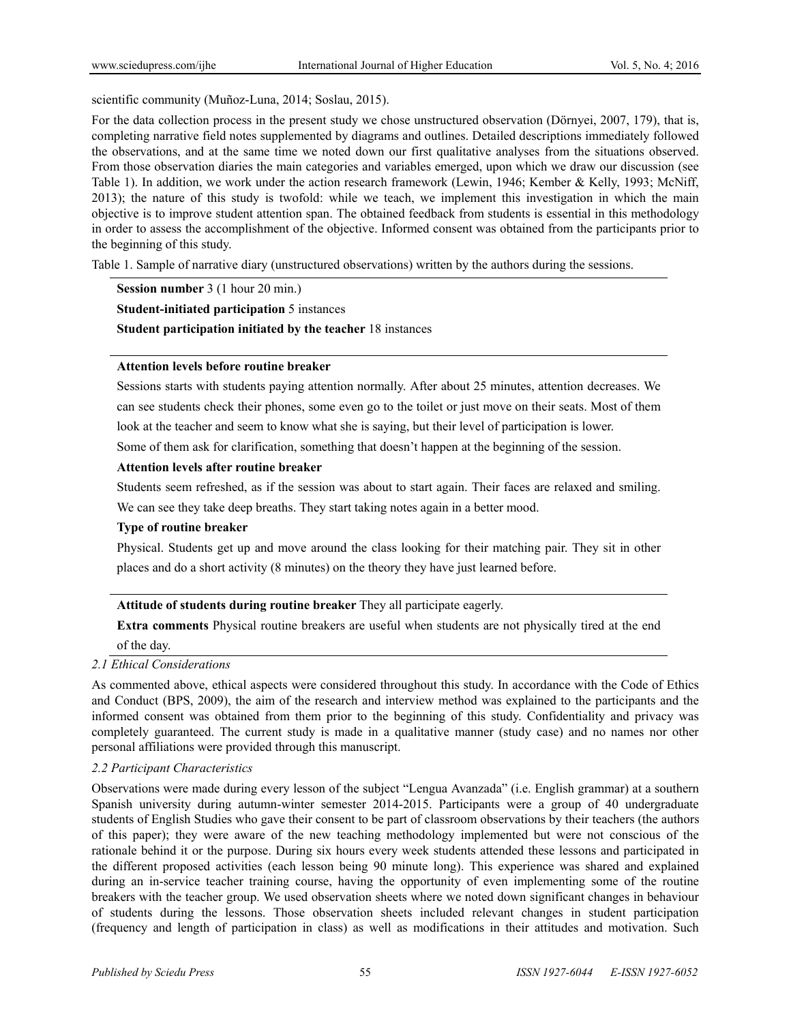scientific community (Muñoz-Luna, 2014; Soslau, 2015).

For the data collection process in the present study we chose unstructured observation (Dörnyei, 2007, 179), that is, completing narrative field notes supplemented by diagrams and outlines. Detailed descriptions immediately followed the observations, and at the same time we noted down our first qualitative analyses from the situations observed. From those observation diaries the main categories and variables emerged, upon which we draw our discussion (see Table 1). In addition, we work under the action research framework (Lewin, 1946; Kember & Kelly, 1993; McNiff, 2013); the nature of this study is twofold: while we teach, we implement this investigation in which the main objective is to improve student attention span. The obtained feedback from students is essential in this methodology in order to assess the accomplishment of the objective. Informed consent was obtained from the participants prior to the beginning of this study.

Table 1. Sample of narrative diary (unstructured observations) written by the authors during the sessions.

**Session number** 3 (1 hour 20 min.)

**Student-initiated participation** 5 instances

**Student participation initiated by the teacher** 18 instances

## **Attention levels before routine breaker**

Sessions starts with students paying attention normally. After about 25 minutes, attention decreases. We can see students check their phones, some even go to the toilet or just move on their seats. Most of them look at the teacher and seem to know what she is saying, but their level of participation is lower.

Some of them ask for clarification, something that doesn't happen at the beginning of the session.

# **Attention levels after routine breaker**

Students seem refreshed, as if the session was about to start again. Their faces are relaxed and smiling. We can see they take deep breaths. They start taking notes again in a better mood.

## **Type of routine breaker**

Physical. Students get up and move around the class looking for their matching pair. They sit in other places and do a short activity (8 minutes) on the theory they have just learned before.

## **Attitude of students during routine breaker** They all participate eagerly.

**Extra comments** Physical routine breakers are useful when students are not physically tired at the end

of the day.

# *2.1 Ethical Considerations*

As commented above, ethical aspects were considered throughout this study. In accordance with the Code of Ethics and Conduct (BPS, 2009), the aim of the research and interview method was explained to the participants and the informed consent was obtained from them prior to the beginning of this study. Confidentiality and privacy was completely guaranteed. The current study is made in a qualitative manner (study case) and no names nor other personal affiliations were provided through this manuscript.

## *2.2 Participant Characteristics*

Observations were made during every lesson of the subject "Lengua Avanzada" (i.e. English grammar) at a southern Spanish university during autumn-winter semester 2014-2015. Participants were a group of 40 undergraduate students of English Studies who gave their consent to be part of classroom observations by their teachers (the authors of this paper); they were aware of the new teaching methodology implemented but were not conscious of the rationale behind it or the purpose. During six hours every week students attended these lessons and participated in the different proposed activities (each lesson being 90 minute long). This experience was shared and explained during an in-service teacher training course, having the opportunity of even implementing some of the routine breakers with the teacher group. We used observation sheets where we noted down significant changes in behaviour of students during the lessons. Those observation sheets included relevant changes in student participation (frequency and length of participation in class) as well as modifications in their attitudes and motivation. Such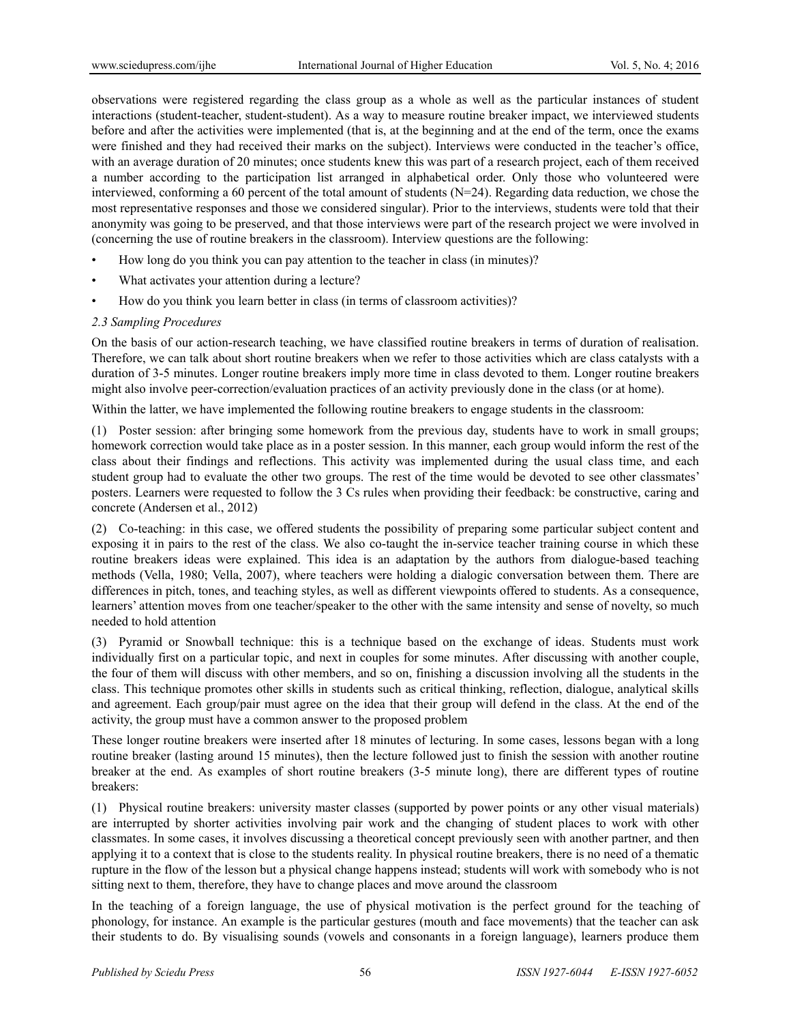observations were registered regarding the class group as a whole as well as the particular instances of student interactions (student-teacher, student-student). As a way to measure routine breaker impact, we interviewed students before and after the activities were implemented (that is, at the beginning and at the end of the term, once the exams were finished and they had received their marks on the subject). Interviews were conducted in the teacher's office, with an average duration of 20 minutes; once students knew this was part of a research project, each of them received a number according to the participation list arranged in alphabetical order. Only those who volunteered were interviewed, conforming a 60 percent of the total amount of students (N=24). Regarding data reduction, we chose the most representative responses and those we considered singular). Prior to the interviews, students were told that their anonymity was going to be preserved, and that those interviews were part of the research project we were involved in (concerning the use of routine breakers in the classroom). Interview questions are the following:

- How long do you think you can pay attention to the teacher in class (in minutes)?
- What activates your attention during a lecture?
- How do you think you learn better in class (in terms of classroom activities)?

## *2.3 Sampling Procedures*

On the basis of our action-research teaching, we have classified routine breakers in terms of duration of realisation. Therefore, we can talk about short routine breakers when we refer to those activities which are class catalysts with a duration of 3-5 minutes. Longer routine breakers imply more time in class devoted to them. Longer routine breakers might also involve peer-correction/evaluation practices of an activity previously done in the class (or at home).

Within the latter, we have implemented the following routine breakers to engage students in the classroom:

(1) Poster session: after bringing some homework from the previous day, students have to work in small groups; homework correction would take place as in a poster session. In this manner, each group would inform the rest of the class about their findings and reflections. This activity was implemented during the usual class time, and each student group had to evaluate the other two groups. The rest of the time would be devoted to see other classmates' posters. Learners were requested to follow the 3 Cs rules when providing their feedback: be constructive, caring and concrete (Andersen et al., 2012)

(2) Co-teaching: in this case, we offered students the possibility of preparing some particular subject content and exposing it in pairs to the rest of the class. We also co-taught the in-service teacher training course in which these routine breakers ideas were explained. This idea is an adaptation by the authors from dialogue-based teaching methods (Vella, 1980; Vella, 2007), where teachers were holding a dialogic conversation between them. There are differences in pitch, tones, and teaching styles, as well as different viewpoints offered to students. As a consequence, learners' attention moves from one teacher/speaker to the other with the same intensity and sense of novelty, so much needed to hold attention

(3) Pyramid or Snowball technique: this is a technique based on the exchange of ideas. Students must work individually first on a particular topic, and next in couples for some minutes. After discussing with another couple, the four of them will discuss with other members, and so on, finishing a discussion involving all the students in the class. This technique promotes other skills in students such as critical thinking, reflection, dialogue, analytical skills and agreement. Each group/pair must agree on the idea that their group will defend in the class. At the end of the activity, the group must have a common answer to the proposed problem

These longer routine breakers were inserted after 18 minutes of lecturing. In some cases, lessons began with a long routine breaker (lasting around 15 minutes), then the lecture followed just to finish the session with another routine breaker at the end. As examples of short routine breakers (3-5 minute long), there are different types of routine breakers:

(1) Physical routine breakers: university master classes (supported by power points or any other visual materials) are interrupted by shorter activities involving pair work and the changing of student places to work with other classmates. In some cases, it involves discussing a theoretical concept previously seen with another partner, and then applying it to a context that is close to the students reality. In physical routine breakers, there is no need of a thematic rupture in the flow of the lesson but a physical change happens instead; students will work with somebody who is not sitting next to them, therefore, they have to change places and move around the classroom

In the teaching of a foreign language, the use of physical motivation is the perfect ground for the teaching of phonology, for instance. An example is the particular gestures (mouth and face movements) that the teacher can ask their students to do. By visualising sounds (vowels and consonants in a foreign language), learners produce them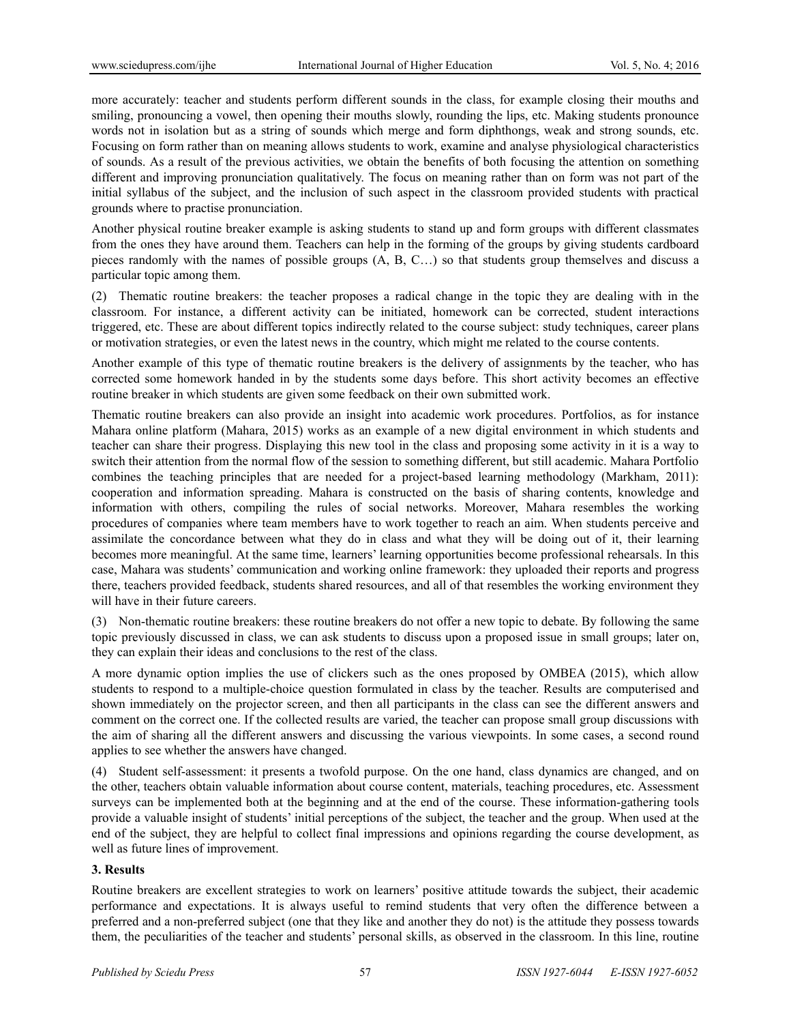more accurately: teacher and students perform different sounds in the class, for example closing their mouths and smiling, pronouncing a vowel, then opening their mouths slowly, rounding the lips, etc. Making students pronounce words not in isolation but as a string of sounds which merge and form diphthongs, weak and strong sounds, etc. Focusing on form rather than on meaning allows students to work, examine and analyse physiological characteristics of sounds. As a result of the previous activities, we obtain the benefits of both focusing the attention on something different and improving pronunciation qualitatively. The focus on meaning rather than on form was not part of the initial syllabus of the subject, and the inclusion of such aspect in the classroom provided students with practical grounds where to practise pronunciation.

Another physical routine breaker example is asking students to stand up and form groups with different classmates from the ones they have around them. Teachers can help in the forming of the groups by giving students cardboard pieces randomly with the names of possible groups (A, B, C…) so that students group themselves and discuss a particular topic among them.

(2) Thematic routine breakers: the teacher proposes a radical change in the topic they are dealing with in the classroom. For instance, a different activity can be initiated, homework can be corrected, student interactions triggered, etc. These are about different topics indirectly related to the course subject: study techniques, career plans or motivation strategies, or even the latest news in the country, which might me related to the course contents.

Another example of this type of thematic routine breakers is the delivery of assignments by the teacher, who has corrected some homework handed in by the students some days before. This short activity becomes an effective routine breaker in which students are given some feedback on their own submitted work.

Thematic routine breakers can also provide an insight into academic work procedures. Portfolios, as for instance Mahara online platform (Mahara, 2015) works as an example of a new digital environment in which students and teacher can share their progress. Displaying this new tool in the class and proposing some activity in it is a way to switch their attention from the normal flow of the session to something different, but still academic. Mahara Portfolio combines the teaching principles that are needed for a project-based learning methodology (Markham, 2011): cooperation and information spreading. Mahara is constructed on the basis of sharing contents, knowledge and information with others, compiling the rules of social networks. Moreover, Mahara resembles the working procedures of companies where team members have to work together to reach an aim. When students perceive and assimilate the concordance between what they do in class and what they will be doing out of it, their learning becomes more meaningful. At the same time, learners' learning opportunities become professional rehearsals. In this case, Mahara was students' communication and working online framework: they uploaded their reports and progress there, teachers provided feedback, students shared resources, and all of that resembles the working environment they will have in their future careers.

(3) Non-thematic routine breakers: these routine breakers do not offer a new topic to debate. By following the same topic previously discussed in class, we can ask students to discuss upon a proposed issue in small groups; later on, they can explain their ideas and conclusions to the rest of the class.

A more dynamic option implies the use of clickers such as the ones proposed by OMBEA (2015), which allow students to respond to a multiple-choice question formulated in class by the teacher. Results are computerised and shown immediately on the projector screen, and then all participants in the class can see the different answers and comment on the correct one. If the collected results are varied, the teacher can propose small group discussions with the aim of sharing all the different answers and discussing the various viewpoints. In some cases, a second round applies to see whether the answers have changed.

(4) Student self-assessment: it presents a twofold purpose. On the one hand, class dynamics are changed, and on the other, teachers obtain valuable information about course content, materials, teaching procedures, etc. Assessment surveys can be implemented both at the beginning and at the end of the course. These information-gathering tools provide a valuable insight of students' initial perceptions of the subject, the teacher and the group. When used at the end of the subject, they are helpful to collect final impressions and opinions regarding the course development, as well as future lines of improvement.

## **3. Results**

Routine breakers are excellent strategies to work on learners' positive attitude towards the subject, their academic performance and expectations. It is always useful to remind students that very often the difference between a preferred and a non-preferred subject (one that they like and another they do not) is the attitude they possess towards them, the peculiarities of the teacher and students' personal skills, as observed in the classroom. In this line, routine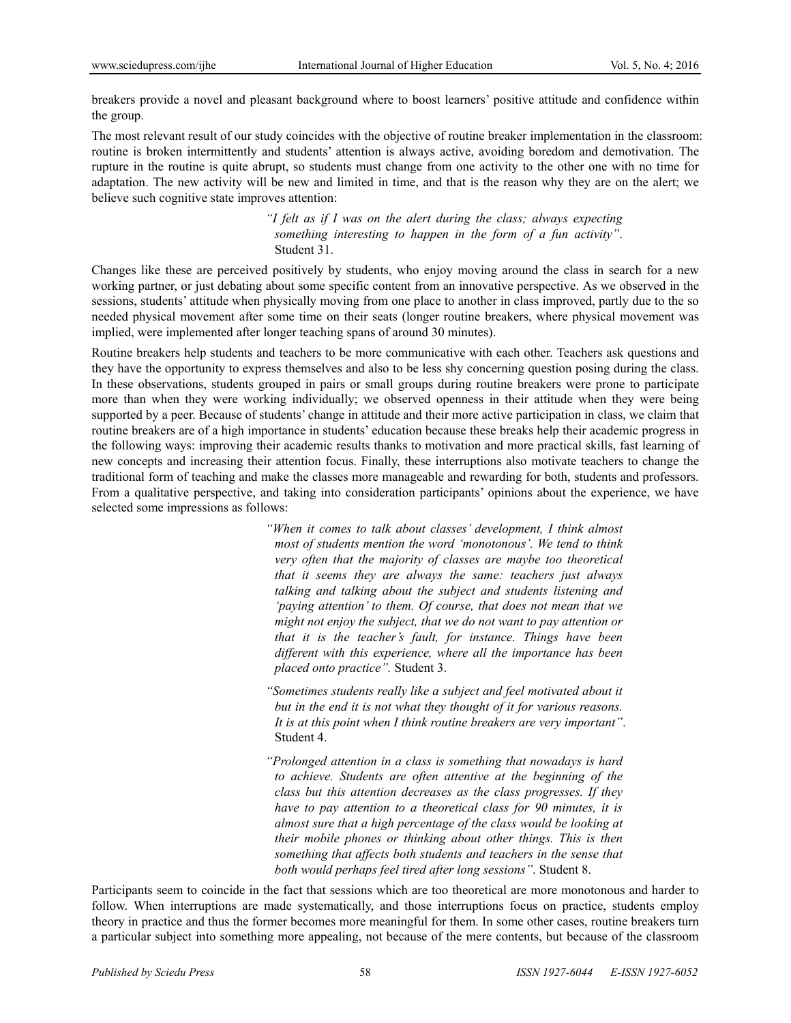breakers provide a novel and pleasant background where to boost learners' positive attitude and confidence within the group.

The most relevant result of our study coincides with the objective of routine breaker implementation in the classroom: routine is broken intermittently and students' attention is always active, avoiding boredom and demotivation. The rupture in the routine is quite abrupt, so students must change from one activity to the other one with no time for adaptation. The new activity will be new and limited in time, and that is the reason why they are on the alert; we believe such cognitive state improves attention:

> *"I felt as if I was on the alert during the class; always expecting something interesting to happen in the form of a fun activity"*. Student 31.

Changes like these are perceived positively by students, who enjoy moving around the class in search for a new working partner, or just debating about some specific content from an innovative perspective. As we observed in the sessions, students' attitude when physically moving from one place to another in class improved, partly due to the so needed physical movement after some time on their seats (longer routine breakers, where physical movement was implied, were implemented after longer teaching spans of around 30 minutes).

Routine breakers help students and teachers to be more communicative with each other. Teachers ask questions and they have the opportunity to express themselves and also to be less shy concerning question posing during the class. In these observations, students grouped in pairs or small groups during routine breakers were prone to participate more than when they were working individually; we observed openness in their attitude when they were being supported by a peer. Because of students' change in attitude and their more active participation in class, we claim that routine breakers are of a high importance in students' education because these breaks help their academic progress in the following ways: improving their academic results thanks to motivation and more practical skills, fast learning of new concepts and increasing their attention focus. Finally, these interruptions also motivate teachers to change the traditional form of teaching and make the classes more manageable and rewarding for both, students and professors. From a qualitative perspective, and taking into consideration participants' opinions about the experience, we have selected some impressions as follows:

> *"When it comes to talk about classes' development, I think almost most of students mention the word 'monotonous'. We tend to think very often that the majority of classes are maybe too theoretical that it seems they are always the same: teachers just always talking and talking about the subject and students listening and 'paying attention' to them. Of course, that does not mean that we might not enjoy the subject, that we do not want to pay attention or that it is the teacher's fault, for instance. Things have been different with this experience, where all the importance has been placed onto practice".* Student 3.

> *"Sometimes students really like a subject and feel motivated about it but in the end it is not what they thought of it for various reasons. It is at this point when I think routine breakers are very important"*. Student 4.

> *"Prolonged attention in a class is something that nowadays is hard to achieve. Students are often attentive at the beginning of the class but this attention decreases as the class progresses. If they have to pay attention to a theoretical class for 90 minutes, it is almost sure that a high percentage of the class would be looking at their mobile phones or thinking about other things. This is then something that affects both students and teachers in the sense that both would perhaps feel tired after long sessions"*. Student 8.

Participants seem to coincide in the fact that sessions which are too theoretical are more monotonous and harder to follow. When interruptions are made systematically, and those interruptions focus on practice, students employ theory in practice and thus the former becomes more meaningful for them. In some other cases, routine breakers turn a particular subject into something more appealing, not because of the mere contents, but because of the classroom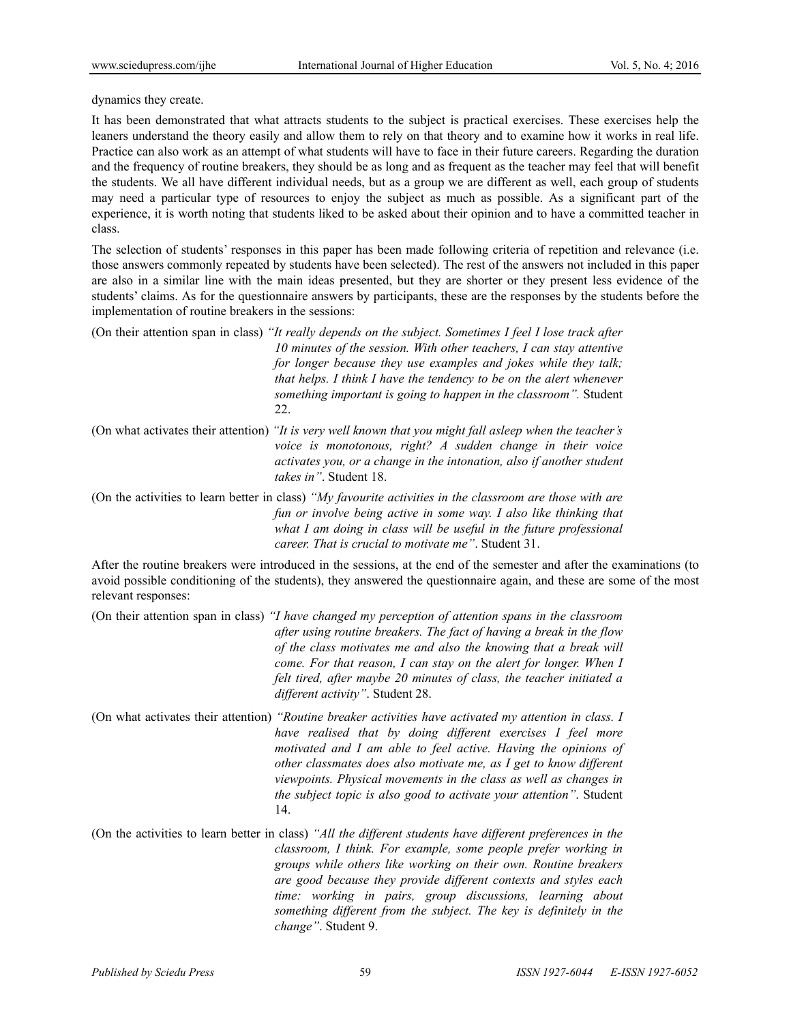dynamics they create.

It has been demonstrated that what attracts students to the subject is practical exercises. These exercises help the leaners understand the theory easily and allow them to rely on that theory and to examine how it works in real life. Practice can also work as an attempt of what students will have to face in their future careers. Regarding the duration and the frequency of routine breakers, they should be as long and as frequent as the teacher may feel that will benefit the students. We all have different individual needs, but as a group we are different as well, each group of students may need a particular type of resources to enjoy the subject as much as possible. As a significant part of the experience, it is worth noting that students liked to be asked about their opinion and to have a committed teacher in class.

The selection of students' responses in this paper has been made following criteria of repetition and relevance (i.e. those answers commonly repeated by students have been selected). The rest of the answers not included in this paper are also in a similar line with the main ideas presented, but they are shorter or they present less evidence of the students' claims. As for the questionnaire answers by participants, these are the responses by the students before the implementation of routine breakers in the sessions:

(On their attention span in class) *"It really depends on the subject. Sometimes I feel I lose track after 10 minutes of the session. With other teachers, I can stay attentive for longer because they use examples and jokes while they talk; that helps. I think I have the tendency to be on the alert whenever something important is going to happen in the classroom".* Student 22.

- (On what activates their attention) *"It is very well known that you might fall asleep when the teacher's voice is monotonous, right? A sudden change in their voice activates you, or a change in the intonation, also if another student takes in"*. Student 18.
- (On the activities to learn better in class) *"My favourite activities in the classroom are those with are fun or involve being active in some way. I also like thinking that what I am doing in class will be useful in the future professional career. That is crucial to motivate me"*. Student 31.

After the routine breakers were introduced in the sessions, at the end of the semester and after the examinations (to avoid possible conditioning of the students), they answered the questionnaire again, and these are some of the most relevant responses:

- (On their attention span in class) *"I have changed my perception of attention spans in the classroom after using routine breakers. The fact of having a break in the flow of the class motivates me and also the knowing that a break will come. For that reason, I can stay on the alert for longer. When I felt tired, after maybe 20 minutes of class, the teacher initiated a different activity"*. Student 28.
- (On what activates their attention) *"Routine breaker activities have activated my attention in class. I have realised that by doing different exercises I feel more motivated and I am able to feel active. Having the opinions of other classmates does also motivate me, as I get to know different viewpoints. Physical movements in the class as well as changes in the subject topic is also good to activate your attention"*. Student 14.
- (On the activities to learn better in class) *"All the different students have different preferences in the classroom, I think. For example, some people prefer working in groups while others like working on their own. Routine breakers are good because they provide different contexts and styles each time: working in pairs, group discussions, learning about something different from the subject. The key is definitely in the change"*. Student 9.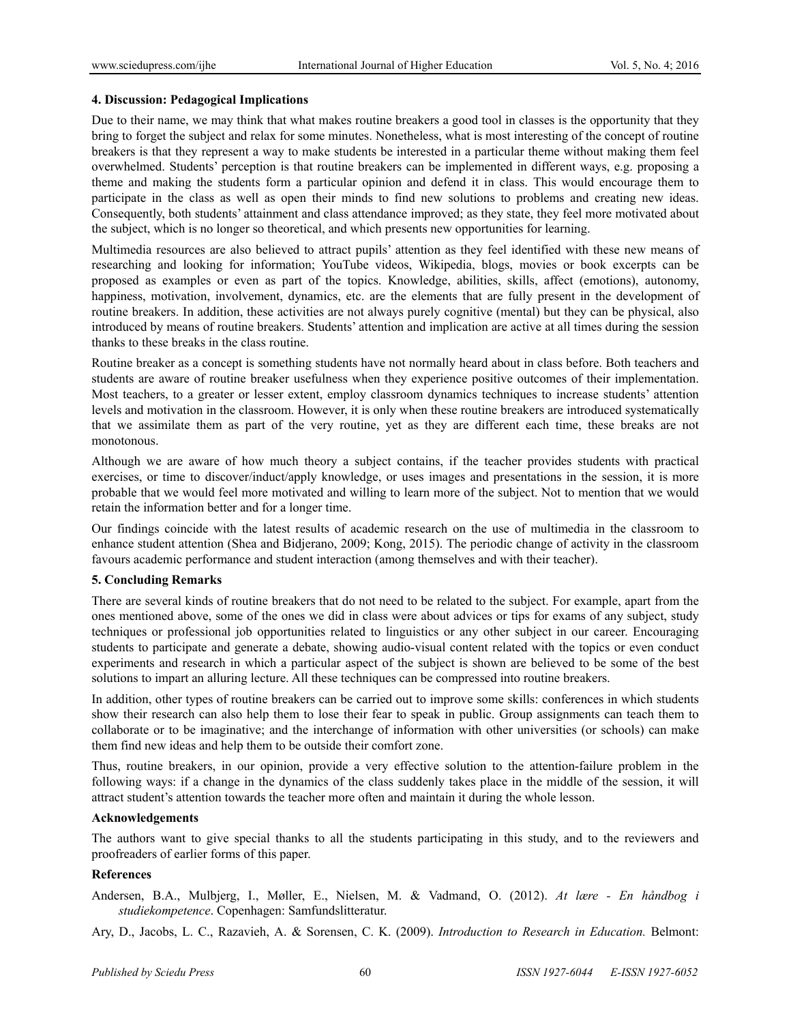## **4. Discussion: Pedagogical Implications**

Due to their name, we may think that what makes routine breakers a good tool in classes is the opportunity that they bring to forget the subject and relax for some minutes. Nonetheless, what is most interesting of the concept of routine breakers is that they represent a way to make students be interested in a particular theme without making them feel overwhelmed. Students' perception is that routine breakers can be implemented in different ways, e.g. proposing a theme and making the students form a particular opinion and defend it in class. This would encourage them to participate in the class as well as open their minds to find new solutions to problems and creating new ideas. Consequently, both students' attainment and class attendance improved; as they state, they feel more motivated about the subject, which is no longer so theoretical, and which presents new opportunities for learning.

Multimedia resources are also believed to attract pupils' attention as they feel identified with these new means of researching and looking for information; YouTube videos, Wikipedia, blogs, movies or book excerpts can be proposed as examples or even as part of the topics. Knowledge, abilities, skills, affect (emotions), autonomy, happiness, motivation, involvement, dynamics, etc. are the elements that are fully present in the development of routine breakers. In addition, these activities are not always purely cognitive (mental) but they can be physical, also introduced by means of routine breakers. Students' attention and implication are active at all times during the session thanks to these breaks in the class routine.

Routine breaker as a concept is something students have not normally heard about in class before. Both teachers and students are aware of routine breaker usefulness when they experience positive outcomes of their implementation. Most teachers, to a greater or lesser extent, employ classroom dynamics techniques to increase students' attention levels and motivation in the classroom. However, it is only when these routine breakers are introduced systematically that we assimilate them as part of the very routine, yet as they are different each time, these breaks are not monotonous.

Although we are aware of how much theory a subject contains, if the teacher provides students with practical exercises, or time to discover/induct/apply knowledge, or uses images and presentations in the session, it is more probable that we would feel more motivated and willing to learn more of the subject. Not to mention that we would retain the information better and for a longer time.

Our findings coincide with the latest results of academic research on the use of multimedia in the classroom to enhance student attention (Shea and Bidjerano, 2009; Kong, 2015). The periodic change of activity in the classroom favours academic performance and student interaction (among themselves and with their teacher).

## **5. Concluding Remarks**

There are several kinds of routine breakers that do not need to be related to the subject. For example, apart from the ones mentioned above, some of the ones we did in class were about advices or tips for exams of any subject, study techniques or professional job opportunities related to linguistics or any other subject in our career. Encouraging students to participate and generate a debate, showing audio-visual content related with the topics or even conduct experiments and research in which a particular aspect of the subject is shown are believed to be some of the best solutions to impart an alluring lecture. All these techniques can be compressed into routine breakers.

In addition, other types of routine breakers can be carried out to improve some skills: conferences in which students show their research can also help them to lose their fear to speak in public. Group assignments can teach them to collaborate or to be imaginative; and the interchange of information with other universities (or schools) can make them find new ideas and help them to be outside their comfort zone.

Thus, routine breakers, in our opinion, provide a very effective solution to the attention-failure problem in the following ways: if a change in the dynamics of the class suddenly takes place in the middle of the session, it will attract student's attention towards the teacher more often and maintain it during the whole lesson.

## **Acknowledgements**

The authors want to give special thanks to all the students participating in this study, and to the reviewers and proofreaders of earlier forms of this paper.

## **References**

- Andersen, B.A., Mulbjerg, I., Møller, E., Nielsen, M. & Vadmand, O. (2012). *At lære En håndbog i studiekompetence*. Copenhagen: Samfundslitteratur.
- Ary, D., Jacobs, L. C., Razavieh, A. & Sorensen, C. K. (2009). *Introduction to Research in Education.* Belmont: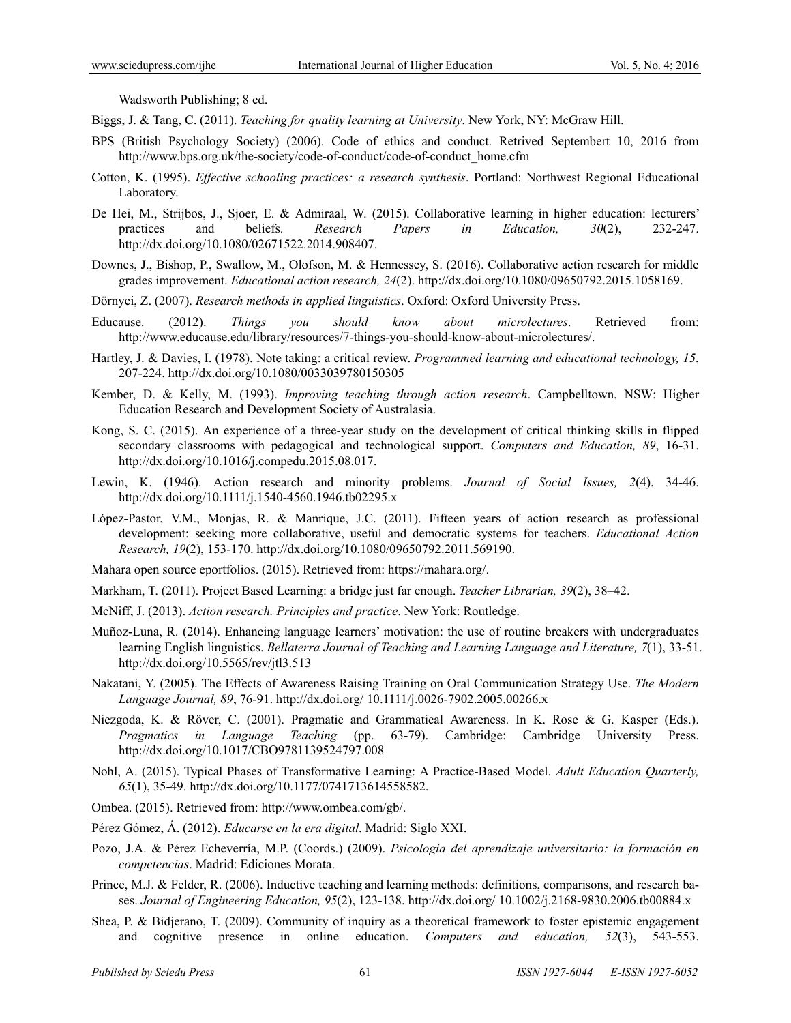Wadsworth Publishing; 8 ed.

Biggs, J. & Tang, C. (2011). *Teaching for quality learning at University*. New York, NY: McGraw Hill.

- BPS (British Psychology Society) (2006). Code of ethics and conduct. Retrived Septembert 10, 2016 from http://www.bps.org.uk/the-society/code-of-conduct/code-of-conduct\_home.cfm
- Cotton, K. (1995). *Effective schooling practices: a research synthesis*. Portland: Northwest Regional Educational Laboratory.
- De Hei, M., Strijbos, J., Sjoer, E. & Admiraal, W. (2015). Collaborative learning in higher education: lecturers' practices and beliefs. *Research Papers in Education, 30*(2), 232-247. http://dx.doi.org/10.1080/02671522.2014.908407.
- Downes, J., Bishop, P., Swallow, M., Olofson, M. & Hennessey, S. (2016). Collaborative action research for middle grades improvement. *Educational action research, 24*(2). http://dx.doi.org/10.1080/09650792.2015.1058169.
- Dörnyei, Z. (2007). *Research methods in applied linguistics*. Oxford: Oxford University Press.
- Educause. (2012). *Things you should know about microlectures*. Retrieved from: http://www.educause.edu/library/resources/7-things-you-should-know-about-microlectures/.
- Hartley, J. & Davies, I. (1978). Note taking: a critical review. *Programmed learning and educational technology, 15*, 207-224. http://dx.doi.org/10.1080/0033039780150305
- Kember, D. & Kelly, M. (1993). *Improving teaching through action research*. Campbelltown, NSW: Higher Education Research and Development Society of Australasia.
- Kong, S. C. (2015). An experience of a three-year study on the development of critical thinking skills in flipped secondary classrooms with pedagogical and technological support. *Computers and Education, 89*, 16-31. http://dx.doi.org/10.1016/j.compedu.2015.08.017.
- Lewin, K. (1946). Action research and minority problems. *Journal of Social Issues, 2*(4), 34-46. http://dx.doi.org/10.1111/j.1540-4560.1946.tb02295.x
- López-Pastor, V.M., Monjas, R. & Manrique, J.C. (2011). Fifteen years of action research as professional development: seeking more collaborative, useful and democratic systems for teachers. *Educational Action Research, 19*(2), 153-170. http://dx.doi.org/10.1080/09650792.2011.569190.
- Mahara open source eportfolios. (2015). Retrieved from: https://mahara.org/.
- Markham, T. (2011). Project Based Learning: a bridge just far enough. *Teacher Librarian, 39*(2), 38–42.
- McNiff, J. (2013). *Action research. Principles and practice*. New York: Routledge.
- Muñoz-Luna, R. (2014). Enhancing language learners' motivation: the use of routine breakers with undergraduates learning English linguistics. *Bellaterra Journal of Teaching and Learning Language and Literature, 7*(1), 33-51. http://dx.doi.org/10.5565/rev/jtl3.513
- Nakatani, Y. (2005). The Effects of Awareness Raising Training on Oral Communication Strategy Use. *The Modern Language Journal, 89*, 76-91. http://dx.doi.org/ 10.1111/j.0026-7902.2005.00266.x
- Niezgoda, K. & Röver, C. (2001). Pragmatic and Grammatical Awareness. In K. Rose & G. Kasper (Eds.). *Pragmatics in Language Teaching* (pp. 63-79). Cambridge: Cambridge University Press. http://dx.doi.org/10.1017/CBO9781139524797.008
- Nohl, A. (2015). Typical Phases of Transformative Learning: A Practice-Based Model. *Adult Education Quarterly, 65*(1), 35-49. http://dx.doi.org/10.1177/0741713614558582.
- Ombea. (2015). Retrieved from: http://www.ombea.com/gb/.

Pérez Gómez, Á. (2012). *Educarse en la era digital*. Madrid: Siglo XXI.

- Pozo, J.A. & Pérez Echeverría, M.P. (Coords.) (2009). *Psicología del aprendizaje universitario: la formación en competencias*. Madrid: Ediciones Morata.
- Prince, M.J. & Felder, R. (2006). Inductive teaching and learning methods: definitions, comparisons, and research bases. *Journal of Engineering Education, 95*(2), 123-138. http://dx.doi.org/ 10.1002/j.2168-9830.2006.tb00884.x
- Shea, P. & Bidjerano, T. (2009). Community of inquiry as a theoretical framework to foster epistemic engagement and cognitive presence in online education. *Computers and education, 52*(3), 543-553.